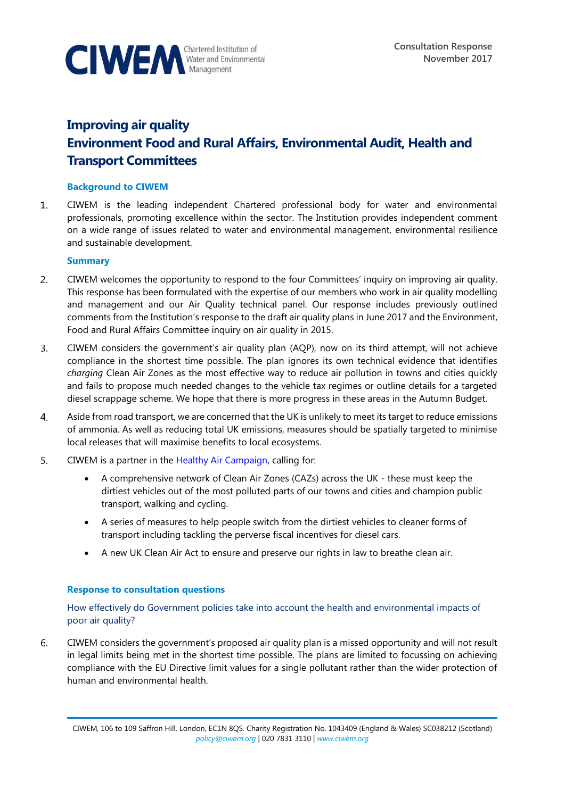

# **Improving air quality Environment Food and Rural Affairs, Environmental Audit, Health and Transport Committees**

# **Background to CIWEM**

 $\mathbf{1}$ . CIWEM is the leading independent Chartered professional body for water and environmental professionals, promoting excellence within the sector. The Institution provides independent comment on a wide range of issues related to water and environmental management, environmental resilience and sustainable development.

## **Summary**

- $2.$ CIWEM welcomes the opportunity to respond to the four Committees' inquiry on improving air quality. This response has been formulated with the expertise of our members who work in air quality modelling and management and our Air Quality technical panel. Our response includes previously outlined comments from the Institution's response to the draft air quality plans in June 2017 and the Environment, Food and Rural Affairs Committee inquiry on air quality in 2015.
- CIWEM considers the government's air quality plan (AQP), now on its third attempt, will not achieve  $3.$ compliance in the shortest time possible. The plan ignores its own technical evidence that identifies *charging* Clean Air Zones as the most effective way to reduce air pollution in towns and cities quickly and fails to propose much needed changes to the vehicle tax regimes or outline details for a targeted diesel scrappage scheme. We hope that there is more progress in these areas in the Autumn Budget.
- Aside from road transport, we are concerned that the UK is unlikely to meet its target to reduce emissions 4. of ammonia. As well as reducing total UK emissions, measures should be spatially targeted to minimise local releases that will maximise benefits to local ecosystems.
- $5.$ CIWEM is a partner in the [Healthy Air Campaign,](https://www.healthyair.org.uk/) calling for:
	- A comprehensive network of Clean Air Zones (CAZs) across the UK these must keep the dirtiest vehicles out of the most polluted parts of our towns and cities and champion public transport, walking and cycling.
	- A series of measures to help people switch from the dirtiest vehicles to cleaner forms of transport including tackling the perverse fiscal incentives for diesel cars.
	- A new UK Clean Air Act to ensure and preserve our rights in law to breathe clean air.

#### **Response to consultation questions**

How effectively do Government policies take into account the health and environmental impacts of poor air quality?

6. CIWEM considers the government's proposed air quality plan is a missed opportunity and will not result in legal limits being met in the shortest time possible. The plans are limited to focussing on achieving compliance with the EU Directive limit values for a single pollutant rather than the wider protection of human and environmental health.

CIWEM, 106 to 109 Saffron Hill, London, EC1N 8QS. Charity Registration No. 1043409 (England & Wales) SC038212 (Scotland) *[policy@ciwem.org](mailto:policy@ciwem.org)* | 020 7831 3110 | *[www.ciwem.org](http://www.ciwem.org/)*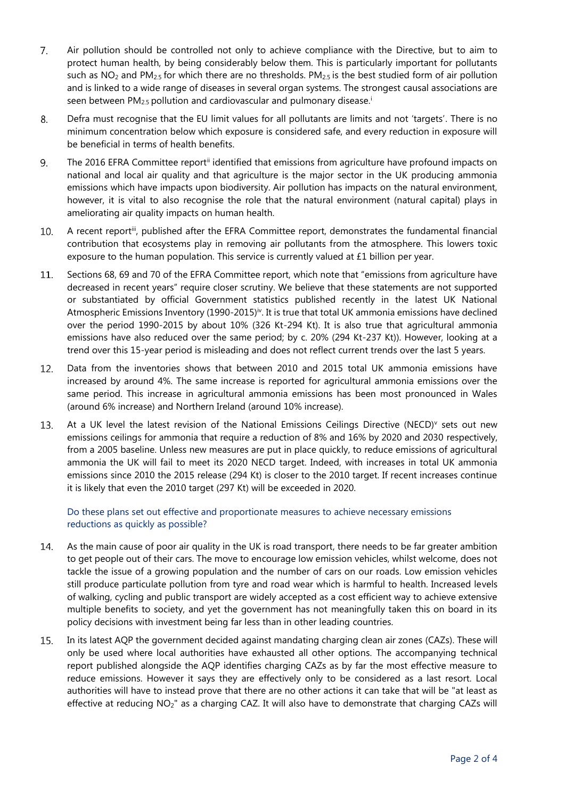- $7.$ Air pollution should be controlled not only to achieve compliance with the Directive, but to aim to protect human health, by being considerably below them. This is particularly important for pollutants such as  $NO<sub>2</sub>$  and PM<sub>2.5</sub> for which there are no thresholds. PM<sub>2.5</sub> is the best studied form of air pollution and is linked to a wide range of diseases in several organ systems. The strongest causal associations are seen between PM<sub>2.5</sub> pollution and cardiovascular and pulmonary disease.<sup>i</sup>
- 8. Defra must recognise that the EU limit values for all pollutants are limits and not 'targets'. There is no minimum concentration below which exposure is considered safe, and every reduction in exposure will be beneficial in terms of health benefits.
- 9. The 2016 EFRA Committee report<sup>ii</sup> identified that emissions from agriculture have profound impacts on national and local air quality and that agriculture is the major sector in the UK producing ammonia emissions which have impacts upon biodiversity. Air pollution has impacts on the natural environment, however, it is vital to also recognise the role that the natural environment (natural capital) plays in ameliorating air quality impacts on human health.
- 10. A recent reportiii, published after the EFRA Committee report, demonstrates the fundamental financial contribution that ecosystems play in removing air pollutants from the atmosphere. This lowers toxic exposure to the human population. This service is currently valued at £1 billion per year.
- 11. Sections 68, 69 and 70 of the EFRA Committee report, which note that "emissions from agriculture have decreased in recent years" require closer scrutiny. We believe that these statements are not supported or substantiated by official Government statistics published recently in the latest UK National Atmospheric Emissions Inventory (1990-2015)<sup>iv</sup>. It is true that total UK ammonia emissions have declined over the period 1990-2015 by about 10% (326 Kt-294 Kt). It is also true that agricultural ammonia emissions have also reduced over the same period; by c. 20% (294 Kt-237 Kt)). However, looking at a trend over this 15-year period is misleading and does not reflect current trends over the last 5 years.
- Data from the inventories shows that between 2010 and 2015 total UK ammonia emissions have 12. increased by around 4%. The same increase is reported for agricultural ammonia emissions over the same period. This increase in agricultural ammonia emissions has been most pronounced in Wales (around 6% increase) and Northern Ireland (around 10% increase).
- $13.$ At a UK level the latest revision of the National Emissions Ceilings Directive (NECD)<sup>v</sup> sets out new emissions ceilings for ammonia that require a reduction of 8% and 16% by 2020 and 2030 respectively, from a 2005 baseline. Unless new measures are put in place quickly, to reduce emissions of agricultural ammonia the UK will fail to meet its 2020 NECD target. Indeed, with increases in total UK ammonia emissions since 2010 the 2015 release (294 Kt) is closer to the 2010 target. If recent increases continue it is likely that even the 2010 target (297 Kt) will be exceeded in 2020.

# Do these plans set out effective and proportionate measures to achieve necessary emissions reductions as quickly as possible?

- $14$ As the main cause of poor air quality in the UK is road transport, there needs to be far greater ambition to get people out of their cars. The move to encourage low emission vehicles, whilst welcome, does not tackle the issue of a growing population and the number of cars on our roads. Low emission vehicles still produce particulate pollution from tyre and road wear which is harmful to health. Increased levels of walking, cycling and public transport are widely accepted as a cost efficient way to achieve extensive multiple benefits to society, and yet the government has not meaningfully taken this on board in its policy decisions with investment being far less than in other leading countries.
- 15. In its latest AQP the government decided against mandating charging clean air zones (CAZs). These will only be used where local authorities have exhausted all other options. The accompanying technical report published alongside the AQP identifies charging CAZs as by far the most effective measure to reduce emissions. However it says they are effectively only to be considered as a last resort. Local authorities will have to instead prove that there are no other actions it can take that will be "at least as effective at reducing NO<sub>2</sub>" as a charging CAZ. It will also have to demonstrate that charging CAZs will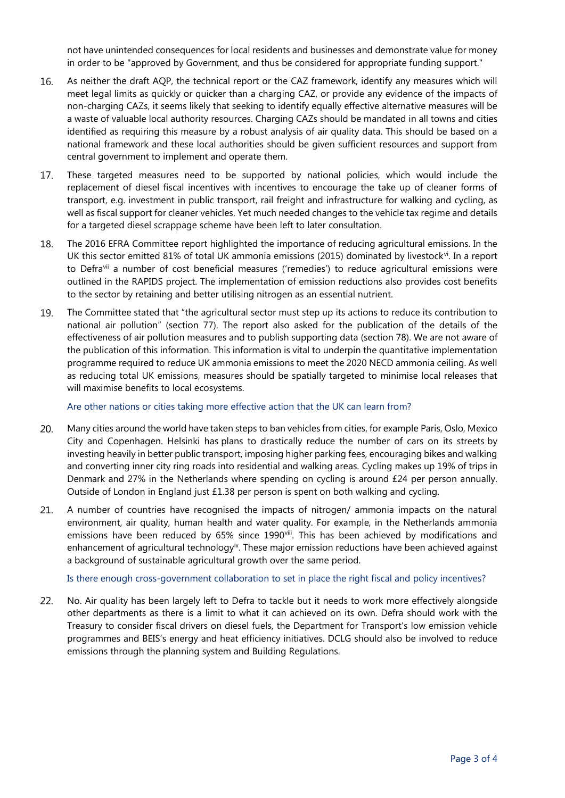not have unintended consequences for local residents and businesses and demonstrate value for money in order to be "approved by Government, and thus be considered for appropriate funding support."

- 16. As neither the draft AQP, the technical report or the CAZ framework, identify any measures which will meet legal limits as quickly or quicker than a charging CAZ, or provide any evidence of the impacts of non-charging CAZs, it seems likely that seeking to identify equally effective alternative measures will be a waste of valuable local authority resources. Charging CAZs should be mandated in all towns and cities identified as requiring this measure by a robust analysis of air quality data. This should be based on a national framework and these local authorities should be given sufficient resources and support from central government to implement and operate them.
- 17. These targeted measures need to be supported by national policies, which would include the replacement of diesel fiscal incentives with incentives to encourage the take up of cleaner forms of transport, e.g. investment in public transport, rail freight and infrastructure for walking and cycling, as well as fiscal support for cleaner vehicles. Yet much needed changes to the vehicle tax regime and details for a targeted diesel scrappage scheme have been left to later consultation.
- 18. The 2016 EFRA Committee report highlighted the importance of reducing agricultural emissions. In the UK this sector emitted 81% of total UK ammonia emissions (2015) dominated by livestock<sup>vi</sup>. In a report to Defravii a number of cost beneficial measures ('remedies') to reduce agricultural emissions were outlined in the RAPIDS project. The implementation of emission reductions also provides cost benefits to the sector by retaining and better utilising nitrogen as an essential nutrient.
- 19. The Committee stated that "the agricultural sector must step up its actions to reduce its contribution to national air pollution" (section 77). The report also asked for the publication of the details of the effectiveness of air pollution measures and to publish supporting data (section 78). We are not aware of the publication of this information. This information is vital to underpin the quantitative implementation programme required to reduce UK ammonia emissions to meet the 2020 NECD ammonia ceiling. As well as reducing total UK emissions, measures should be spatially targeted to minimise local releases that will maximise benefits to local ecosystems.

Are other nations or cities taking more effective action that the UK can learn from?

- 20. Many cities around the world have taken steps to ban vehicles from cities, for example Paris, Oslo, Mexico City and Copenhagen. Helsinki has [plans to drastically reduce the number of cars on its streets](https://www.theguardian.com/cities/2014/jul/10/helsinki-shared-public-transport-plan-car-ownership-pointless) by investing heavily in better public transport, imposing higher parking fees, encouraging bikes and walking and converting inner city ring roads into residential and walking areas. Cycling makes up 19% of trips in Denmark and 27% in the Netherlands where spending on cycling is around £24 per person annually. Outside of London in England just £1.38 per person is spent on both walking and cycling.
- 21. A number of countries have recognised the impacts of nitrogen/ ammonia impacts on the natural environment, air quality, human health and water quality. For example, in the Netherlands ammonia emissions have been reduced by 65% since 1990viii. This has been achieved by modifications and enhancement of agricultural technology<sup>ix</sup>. These major emission reductions have been achieved against a background of sustainable agricultural growth over the same period.

Is there enough cross-government collaboration to set in place the right fiscal and policy incentives?

 $22.$ No. Air quality has been largely left to Defra to tackle but it needs to work more effectively alongside other departments as there is a limit to what it can achieved on its own. Defra should work with the Treasury to consider fiscal drivers on diesel fuels, the Department for Transport's low emission vehicle programmes and BEIS's energy and heat efficiency initiatives. DCLG should also be involved to reduce emissions through the planning system and Building Regulations.